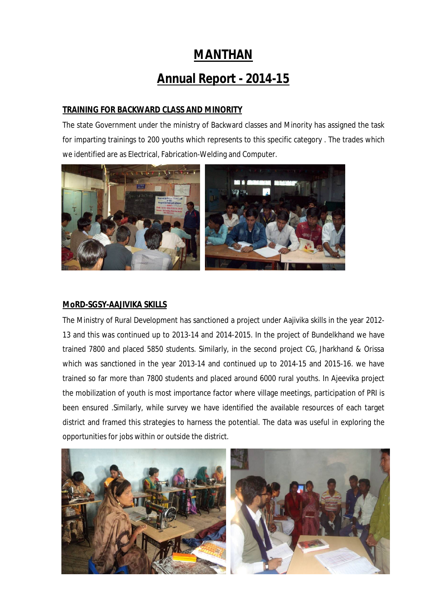# **MANTHAN**

# **Annual Report - 2014-15**

## **TRAINING FOR BACKWARD CLASS AND MINORITY**

The state Government under the ministry of Backward classes and Minority has assigned the task for imparting trainings to 200 youths which represents to this specific category . The trades which we identified are as Electrical, Fabrication-Welding and Computer.



#### **MoRD-SGSY-AAJIVIKA SKILLS**

The Ministry of Rural Development has sanctioned a project under Aajivika skills in the year 2012- 13 and this was continued up to 2013-14 and 2014-2015. In the project of Bundelkhand we have trained 7800 and placed 5850 students. Similarly, in the second project CG, Jharkhand & Orissa which was sanctioned in the year 2013-14 and continued up to 2014-15 and 2015-16. we have trained so far more than 7800 students and placed around 6000 rural youths. In Ajeevika project the mobilization of youth is most importance factor where village meetings, participation of PRI is been ensured .Similarly, while survey we have identified the available resources of each target district and framed this strategies to harness the potential. The data was useful in exploring the opportunities for jobs within or outside the district.

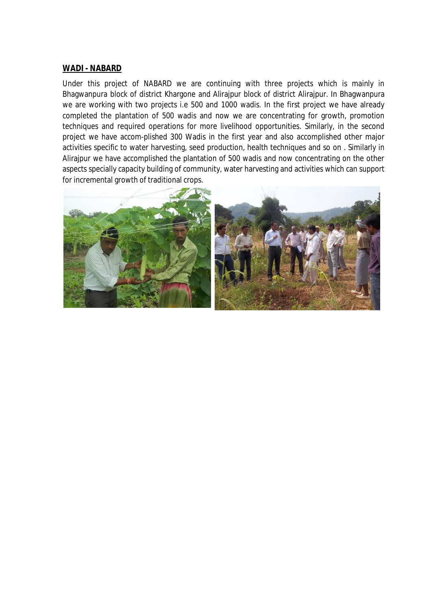#### **WADI - NABARD**

Under this project of NABARD we are continuing with three projects which is mainly in Bhagwanpura block of district Khargone and Alirajpur block of district Alirajpur. In Bhagwanpura we are working with two projects i.e 500 and 1000 wadis. In the first project we have already completed the plantation of 500 wadis and now we are concentrating for growth, promotion techniques and required operations for more livelihood opportunities. Similarly, in the second project we have accom-plished 300 Wadis in the first year and also accomplished other major activities specific to water harvesting, seed production, health techniques and so on . Similarly in Alirajpur we have accomplished the plantation of 500 wadis and now concentrating on the other aspects specially capacity building of community, water harvesting and activities which can support for incremental growth of traditional crops.

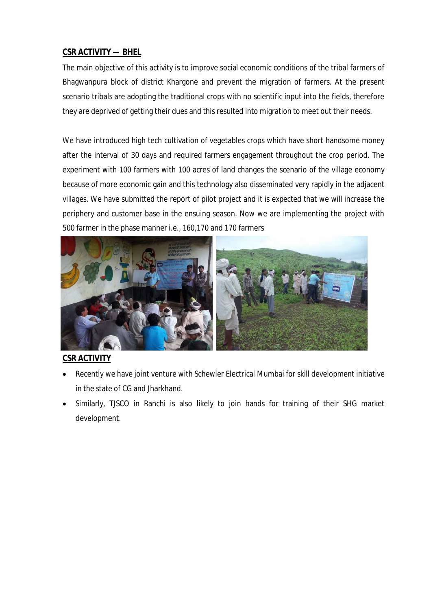# **CSR ACTIVITY — BHEL**

The main objective of this activity is to improve social economic conditions of the tribal farmers of Bhagwanpura block of district Khargone and prevent the migration of farmers. At the present scenario tribals are adopting the traditional crops with no scientific input into the fields, therefore they are deprived of getting their dues and this resulted into migration to meet out their needs.

We have introduced high tech cultivation of vegetables crops which have short handsome money after the interval of 30 days and required farmers engagement throughout the crop period. The experiment with 100 farmers with 100 acres of land changes the scenario of the village economy because of more economic gain and this technology also disseminated very rapidly in the adjacent villages. We have submitted the report of pilot project and it is expected that we will increase the periphery and customer base in the ensuing season. Now we are implementing the project with 500 farmer in the phase manner i.e., 160,170 and 170 farmers



# **CSR ACTIVITY**

- Recently we have joint venture with Schewler Electrical Mumbai for skill development initiative in the state of CG and Jharkhand.
- Similarly, TJSCO in Ranchi is also likely to join hands for training of their SHG market development.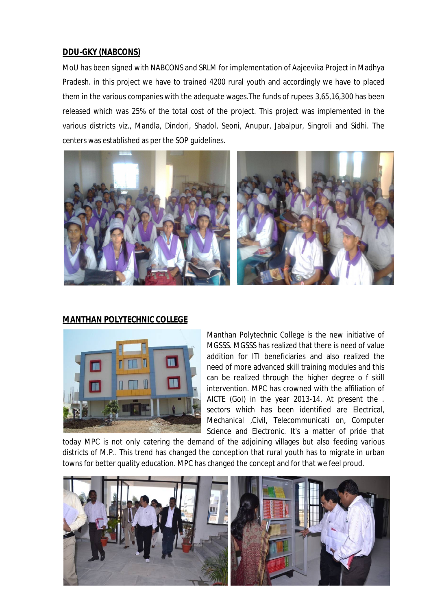## **DDU-GKY (NABCONS)**

MoU has been signed with NABCONS and SRLM for implementation of Aajeevika Project in Madhya Pradesh. in this project we have to trained 4200 rural youth and accordingly we have to placed them in the various companies with the adequate wages.The funds of rupees 3,65,16,300 has been released which was 25% of the total cost of the project. This project was implemented in the various districts viz., Mandla, Dindori, Shadol, Seoni, Anupur, Jabalpur, Singroli and Sidhi. The centers was established as per the SOP guidelines.



### **MANTHAN POLYTECHNIC COLLEGE**



Manthan Polytechnic College is the new initiative of MGSSS. MGSSS has realized that there is need of value addition for ITI beneficiaries and also realized the need of more advanced skill training modules and this can be realized through the higher degree o f skill intervention. MPC has crowned with the affiliation of AICTE (GoI) in the year 2013-14. At present the . sectors which has been identified are Electrical, Mechanical ,Civil, Telecommunicati on, Computer Science and Electronic. It's a matter of pride that

today MPC is not only catering the demand of the adjoining villages but also feeding various districts of M.P.. This trend has changed the conception that rural youth has to migrate in urban towns for better quality education. MPC has changed the concept and for that we feel proud.